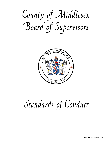County of Middlesex Board of Supervisors



## Standards of Conduct